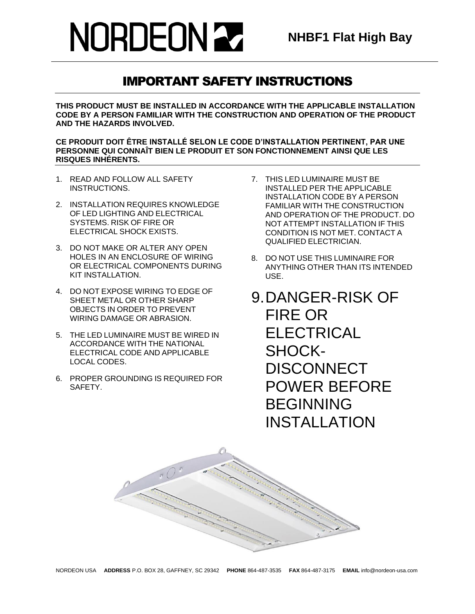### IMPORTANT SAFETY INSTRUCTIONS

**THIS PRODUCT MUST BE INSTALLED IN ACCORDANCE WITH THE APPLICABLE INSTALLATION CODE BY A PERSON FAMILIAR WITH THE CONSTRUCTION AND OPERATION OF THE PRODUCT AND THE HAZARDS INVOLVED.**

**CE PRODUIT DOIT ÊTRE INSTALLÉ SELON LE CODE D'INSTALLATION PERTINENT, PAR UNE PERSONNE QUI CONNAÎT BIEN LE PRODUIT ET SON FONCTIONNEMENT AINSI QUE LES RISQUES INHÉRENTS.**

- 1. READ AND FOLLOW ALL SAFETY INSTRUCTIONS.
- 2. INSTALLATION REQUIRES KNOWLEDGE OF LED LIGHTING AND ELECTRICAL SYSTEMS. RISK OF FIRE OR ELECTRICAL SHOCK EXISTS.
- 3. DO NOT MAKE OR ALTER ANY OPEN HOLES IN AN ENCLOSURE OF WIRING OR ELECTRICAL COMPONENTS DURING KIT INSTALL ATION
- 4. DO NOT EXPOSE WIRING TO EDGE OF SHEET METAL OR OTHER SHARP OBJECTS IN ORDER TO PREVENT WIRING DAMAGE OR ABRASION.
- 5. THE LED LUMINAIRE MUST BE WIRED IN ACCORDANCE WITH THE NATIONAL ELECTRICAL CODE AND APPLICABLE LOCAL CODES.
- 6. PROPER GROUNDING IS REQUIRED FOR SAFETY.
- 7. THIS LED LUMINAIRE MUST BE INSTALLED PER THE APPLICABLE INSTALLATION CODE BY A PERSON FAMILIAR WITH THE CONSTRUCTION AND OPERATION OF THE PRODUCT. DO NOT ATTEMPT INSTALLATION IF THIS CONDITION IS NOT MET. CONTACT A QUALIFIED ELECTRICIAN.
- 8. DO NOT USE THIS LUMINAIRE FOR ANYTHING OTHER THAN ITS INTENDED USE.
- 9.DANGER-RISK OF FIRE OR ELECTRICAL SHOCK-**DISCONNECT** POWER BEFORE BEGINNING INSTALLATION

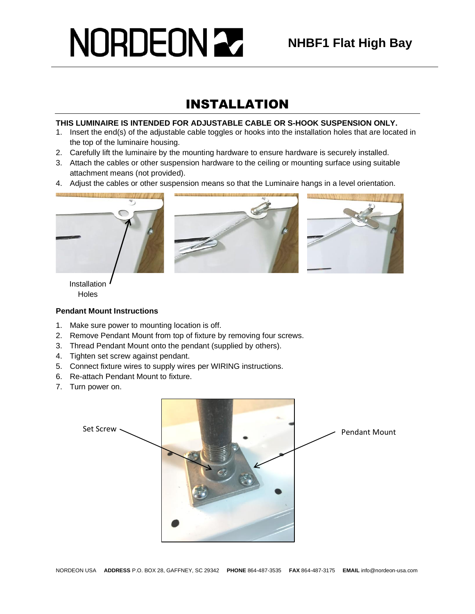### INSTALLATION

#### **THIS LUMINAIRE IS INTENDED FOR ADJUSTABLE CABLE OR S-HOOK SUSPENSION ONLY.**

- 1. Insert the end(s) of the adjustable cable toggles or hooks into the installation holes that are located in the top of the luminaire housing.
- 2. Carefully lift the luminaire by the mounting hardware to ensure hardware is securely installed.
- 3. Attach the cables or other suspension hardware to the ceiling or mounting surface using suitable attachment means (not provided).
- 4. Adjust the cables or other suspension means so that the Luminaire hangs in a level orientation.



Installation **Holes** 

#### **Pendant Mount Instructions**

- 1. Make sure power to mounting location is off.
- 2. Remove Pendant Mount from top of fixture by removing four screws.
- 3. Thread Pendant Mount onto the pendant (supplied by others).
- 4. Tighten set screw against pendant.
- 5. Connect fixture wires to supply wires per WIRING instructions.
- 6. Re-attach Pendant Mount to fixture.
- 7. Turn power on.

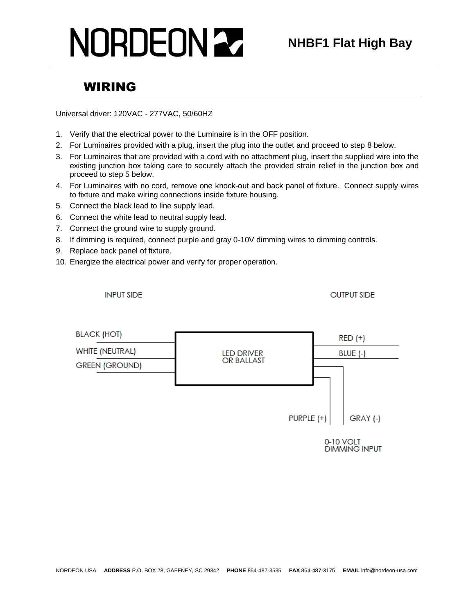### WIRING

Universal driver: 120VAC - 277VAC, 50/60HZ

- 1. Verify that the electrical power to the Luminaire is in the OFF position.
- 2. For Luminaires provided with a plug, insert the plug into the outlet and proceed to step 8 below.
- 3. For Luminaires that are provided with a cord with no attachment plug, insert the supplied wire into the existing junction box taking care to securely attach the provided strain relief in the junction box and proceed to step 5 below.
- 4. For Luminaires with no cord, remove one knock-out and back panel of fixture. Connect supply wires to fixture and make wiring connections inside fixture housing.
- 5. Connect the black lead to line supply lead.
- 6. Connect the white lead to neutral supply lead.
- 7. Connect the ground wire to supply ground.
- 8. If dimming is required, connect purple and gray 0-10V dimming wires to dimming controls.
- 9. Replace back panel of fixture.
- 10. Energize the electrical power and verify for proper operation.

**INPUT SIDE** 

**OUTPUT SIDE** 



0-10 VOLT **DIMMING INPUT**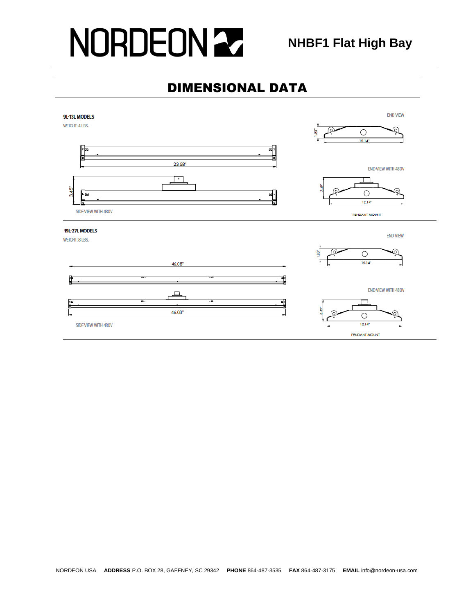### DIMENSIONAL DATA